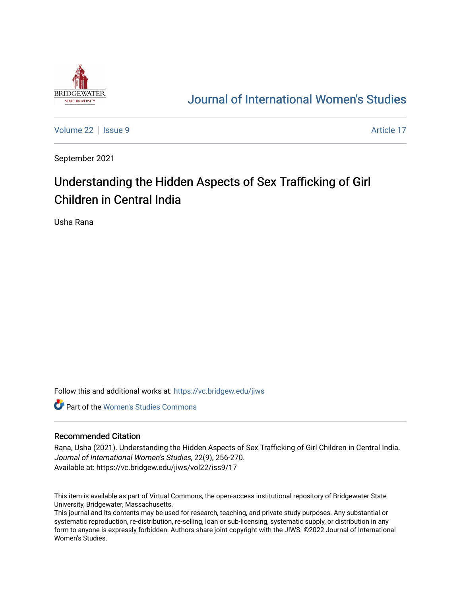

# [Journal of International Women's Studies](https://vc.bridgew.edu/jiws)

[Volume 22](https://vc.bridgew.edu/jiws/vol22) | [Issue 9](https://vc.bridgew.edu/jiws/vol22/iss9) Article 17

September 2021

# Understanding the Hidden Aspects of Sex Trafficking of Girl Children in Central India

Usha Rana

Follow this and additional works at: [https://vc.bridgew.edu/jiws](https://vc.bridgew.edu/jiws?utm_source=vc.bridgew.edu%2Fjiws%2Fvol22%2Fiss9%2F17&utm_medium=PDF&utm_campaign=PDFCoverPages)

**C** Part of the Women's Studies Commons

#### Recommended Citation

Rana, Usha (2021). Understanding the Hidden Aspects of Sex Trafficking of Girl Children in Central India. Journal of International Women's Studies, 22(9), 256-270. Available at: https://vc.bridgew.edu/jiws/vol22/iss9/17

This item is available as part of Virtual Commons, the open-access institutional repository of Bridgewater State University, Bridgewater, Massachusetts.

This journal and its contents may be used for research, teaching, and private study purposes. Any substantial or systematic reproduction, re-distribution, re-selling, loan or sub-licensing, systematic supply, or distribution in any form to anyone is expressly forbidden. Authors share joint copyright with the JIWS. ©2022 Journal of International Women's Studies.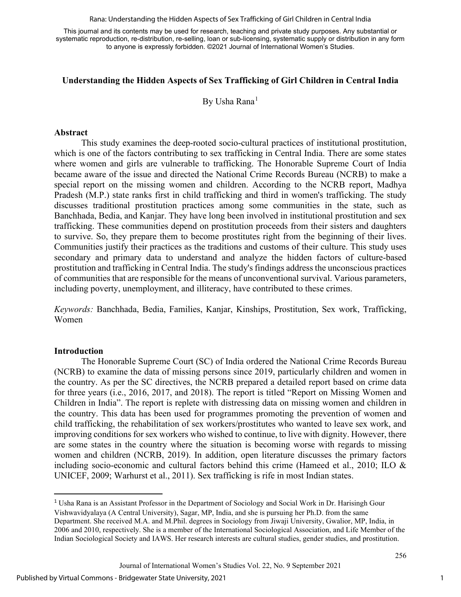Rana: Understanding the Hidden Aspects of Sex Trafficking of Girl Children in Central India

This journal and its contents may be used for research, teaching and private study purposes. Any substantial or systematic reproduction, re-distribution, re-selling, loan or sub-licensing, systematic supply or distribution in any form to anyone is expressly forbidden. ©2021 Journal of International Women's Studies.

### **Understanding the Hidden Aspects of Sex Trafficking of Girl Children in Central India**

By Usha Rana<sup>[1](#page-1-0)</sup>

#### **Abstract**

This study examines the deep-rooted socio-cultural practices of institutional prostitution, which is one of the factors contributing to sex trafficking in Central India. There are some states where women and girls are vulnerable to trafficking. The Honorable Supreme Court of India became aware of the issue and directed the National Crime Records Bureau (NCRB) to make a special report on the missing women and children. According to the NCRB report, Madhya Pradesh (M.P.) state ranks first in child trafficking and third in women's trafficking. The study discusses traditional prostitution practices among some communities in the state, such as Banchhada, Bedia, and Kanjar. They have long been involved in institutional prostitution and sex trafficking. These communities depend on prostitution proceeds from their sisters and daughters to survive. So, they prepare them to become prostitutes right from the beginning of their lives. Communities justify their practices as the traditions and customs of their culture. This study uses secondary and primary data to understand and analyze the hidden factors of culture-based prostitution and trafficking in Central India. The study's findings address the unconscious practices of communities that are responsible for the means of unconventional survival. Various parameters, including poverty, unemployment, and illiteracy, have contributed to these crimes.

*Keywords:* Banchhada, Bedia, Families, Kanjar, Kinships, Prostitution, Sex work, Trafficking, Women

#### **Introduction**

The Honorable Supreme Court (SC) of India ordered the National Crime Records Bureau (NCRB) to examine the data of missing persons since 2019, particularly children and women in the country. As per the SC directives, the NCRB prepared a detailed report based on crime data for three years (i.e., 2016, 2017, and 2018). The report is titled "Report on Missing Women and Children in India". The report is replete with distressing data on missing women and children in the country. This data has been used for programmes promoting the prevention of women and child trafficking, the rehabilitation of sex workers/prostitutes who wanted to leave sex work, and improving conditions for sex workers who wished to continue, to live with dignity. However, there are some states in the country where the situation is becoming worse with regards to missing women and children (NCRB, 2019). In addition, open literature discusses the primary factors including socio-economic and cultural factors behind this crime (Hameed et al., 2010; ILO & UNICEF, 2009; Warhurst et al., 2011). Sex trafficking is rife in most Indian states.

<span id="page-1-0"></span><sup>1</sup> Usha Rana is an Assistant Professor in the Department of Sociology and Social Work in Dr. Harisingh Gour Vishwavidyalaya (A Central University), Sagar, MP, India, and she is pursuing her Ph.D. from the same Department. She received M.A. and M.Phil. degrees in Sociology from Jiwaji University, Gwalior, MP, India, in 2006 and 2010, respectively. She is a member of the International Sociological Association, and Life Member of the Indian Sociological Society and IAWS. Her research interests are cultural studies, gender studies, and prostitution.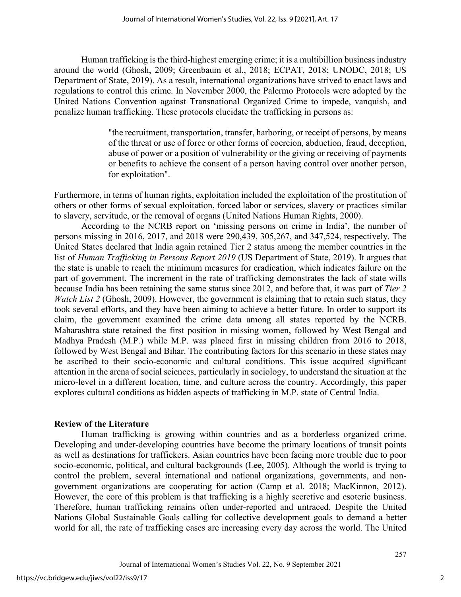Human trafficking is the third-highest emerging crime; it is a multibillion business industry around the world (Ghosh, 2009; Greenbaum et al., 2018; ECPAT, 2018; UNODC, 2018; US Department of State, 2019). As a result, international organizations have strived to enact laws and regulations to control this crime. In November 2000, the Palermo Protocols were adopted by the United Nations Convention against Transnational Organized Crime to impede, vanquish, and penalize human trafficking. These protocols elucidate the trafficking in persons as:

> "the recruitment, transportation, transfer, harboring, or receipt of persons, by means of the threat or use of force or other forms of coercion, abduction, fraud, deception, abuse of power or a position of vulnerability or the giving or receiving of payments or benefits to achieve the consent of a person having control over another person, for exploitation".

Furthermore, in terms of human rights, exploitation included the exploitation of the prostitution of others or other forms of sexual exploitation, forced labor or services, slavery or practices similar to slavery, servitude, or the removal of organs (United Nations Human Rights, 2000).

According to the NCRB report on 'missing persons on crime in India', the number of persons missing in 2016, 2017, and 2018 were 290,439, 305,267, and 347,524, respectively. The United States declared that India again retained Tier 2 status among the member countries in the list of *Human Trafficking in Persons Report 2019* (US Department of State, 2019). It argues that the state is unable to reach the minimum measures for eradication, which indicates failure on the part of government. The increment in the rate of trafficking demonstrates the lack of state wills because India has been retaining the same status since 2012, and before that, it was part of *Tier 2 Watch List 2* (Ghosh, 2009). However, the government is claiming that to retain such status, they took several efforts, and they have been aiming to achieve a better future. In order to support its claim, the government examined the crime data among all states reported by the NCRB. Maharashtra state retained the first position in missing women, followed by West Bengal and Madhya Pradesh (M.P.) while M.P. was placed first in missing children from 2016 to 2018, followed by West Bengal and Bihar. The contributing factors for this scenario in these states may be ascribed to their socio-economic and cultural conditions. This issue acquired significant attention in the arena of social sciences, particularly in sociology, to understand the situation at the micro-level in a different location, time, and culture across the country. Accordingly, this paper explores cultural conditions as hidden aspects of trafficking in M.P. state of Central India.

#### **Review of the Literature**

Human trafficking is growing within countries and as a borderless organized crime. Developing and under-developing countries have become the primary locations of transit points as well as destinations for traffickers. Asian countries have been facing more trouble due to poor socio-economic, political, and cultural backgrounds (Lee, 2005). Although the world is trying to control the problem, several international and national organizations, governments, and nongovernment organizations are cooperating for action (Camp et al. 2018; MacKinnon, 2012). However, the core of this problem is that trafficking is a highly secretive and esoteric business. Therefore, human trafficking remains often under-reported and untraced. Despite the United Nations Global Sustainable Goals calling for collective development goals to demand a better world for all, the rate of trafficking cases are increasing every day across the world. The United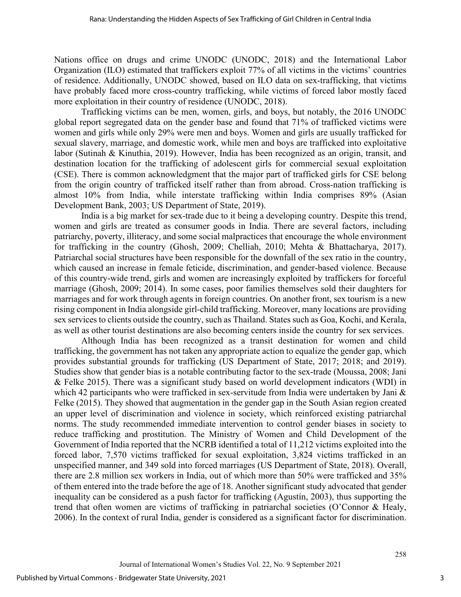Nations office on drugs and crime UNODC (UNODC, 2018) and the International Labor Organization (ILO) estimated that traffickers exploit 77% of all victims in the victims' countries of residence. Additionally, UNODC showed, based on ILO data on sex-trafficking, that victims have probably faced more cross-country trafficking, while victims of forced labor mostly faced more exploitation in their country of residence (UNODC, 2018).

Trafficking victims can be men, women, girls, and boys, but notably, the 2016 UNODC global report segregated data on the gender base and found that 71% of trafficked victims were women and girls while only 29% were men and boys. Women and girls are usually trafficked for sexual slavery, marriage, and domestic work, while men and boys are trafficked into exploitative labor (Sutinah & Kinuthia, 2019). However, India has been recognized as an origin, transit, and destination location for the trafficking of adolescent girls for commercial sexual exploitation (CSE). There is common acknowledgment that the major part of trafficked girls for CSE belong from the origin country of trafficked itself rather than from abroad. Cross-nation trafficking is almost 10% from India, while interstate trafficking within India comprises 89% (Asian Development Bank, 2003; US Department of State, 2019).

India is a big market for sex-trade due to it being a developing country. Despite this trend, women and girls are treated as consumer goods in India. There are several factors, including patriarchy, poverty, illiteracy, and some social malpractices that encourage the whole environment for trafficking in the country (Ghosh, 2009; Chelliah, 2010; Mehta & Bhattacharya, 2017). Patriarchal social structures have been responsible for the downfall of the sex ratio in the country, which caused an increase in female feticide, discrimination, and gender-based violence. Because of this country-wide trend, girls and women are increasingly exploited by traffickers for forceful marriage (Ghosh, 2009; 2014). In some cases, poor families themselves sold their daughters for marriages and for work through agents in foreign countries. On another front, sex tourism is a new rising component in India alongside girl-child trafficking. Moreover, many locations are providing sex services to clients outside the country, such as Thailand. States such as Goa, Kochi, and Kerala, as well as other tourist destinations are also becoming centers inside the country for sex services.

Although India has been recognized as a transit destination for women and child trafficking, the government has not taken any appropriate action to equalize the gender gap, which provides substantial grounds for trafficking (US Department of State, 2017; 2018; and 2019). Studies show that gender bias is a notable contributing factor to the sex-trade (Moussa, 2008; Jani & Felke 2015). There was a significant study based on world development indicators (WDI) in which 42 participants who were trafficked in sex-servitude from India were undertaken by Jani & Felke (2015). They showed that augmentation in the gender gap in the South Asian region created an upper level of discrimination and violence in society, which reinforced existing patriarchal norms. The study recommended immediate intervention to control gender biases in society to reduce trafficking and prostitution. The Ministry of Women and Child Development of the Government of India reported that the NCRB identified a total of 11,212 victims exploited into the forced labor, 7,570 victims trafficked for sexual exploitation, 3,824 victims trafficked in an unspecified manner, and 349 sold into forced marriages (US Department of State, 2018). Overall, there are 2.8 million sex workers in India, out of which more than 50% were trafficked and 35% of them entered into the trade before the age of 18. Another significant study advocated that gender inequality can be considered as a push factor for trafficking (Agustín, 2003), thus supporting the trend that often women are victims of trafficking in patriarchal societies (O'Connor & Healy, 2006). In the context of rural India, gender is considered as a significant factor for discrimination.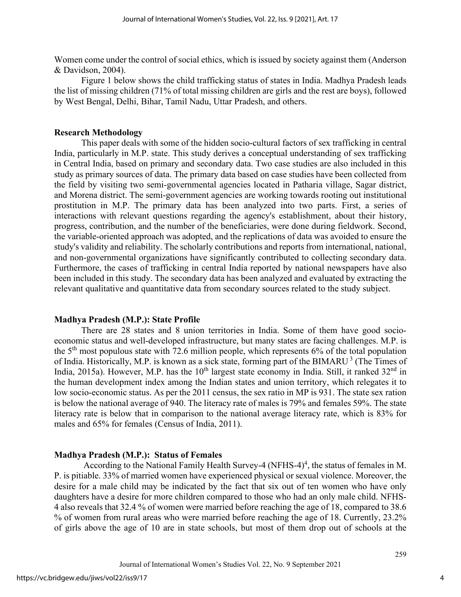Women come under the control of social ethics, which is issued by society against them (Anderson & Davidson, 2004).

Figure 1 below shows the child trafficking status of states in India. Madhya Pradesh leads the list of missing children (71% of total missing children are girls and the rest are boys), followed by West Bengal, Delhi, Bihar, Tamil Nadu, Uttar Pradesh, and others.

#### **Research Methodology**

This paper deals with some of the hidden socio-cultural factors of sex trafficking in central India, particularly in M.P. state. This study derives a conceptual understanding of sex trafficking in Central India, based on primary and secondary data. Two case studies are also included in this study as primary sources of data. The primary data based on case studies have been collected from the field by visiting two semi-governmental agencies located in Patharia village, Sagar district, and Morena district. The semi-government agencies are working towards rooting out institutional prostitution in M.P. The primary data has been analyzed into two parts. First, a series of interactions with relevant questions regarding the agency's establishment, about their history, progress, contribution, and the number of the beneficiaries, were done during fieldwork. Second, the variable-oriented approach was adopted, and the replications of data was avoided to ensure the study's validity and reliability. The scholarly contributions and reports from international, national, and non-governmental organizations have significantly contributed to collecting secondary data. Furthermore, the cases of trafficking in central India reported by national newspapers have also been included in this study. The secondary data has been analyzed and evaluated by extracting the relevant qualitative and quantitative data from secondary sources related to the study subject.

#### **Madhya Pradesh (M.P.): State Profile**

There are 28 states and 8 union territories in India. Some of them have good socioeconomic status and well-developed infrastructure, but many states are facing challenges. M.P. is the  $5<sup>th</sup>$  most populous state with 72.6 million people, which represents 6% of the total population of India. Historically, M.P. is known as a sick state, forming part of the BIMARU<sup>3</sup> (The Times of India, 2015a). However, M.P. has the  $10<sup>th</sup>$  largest state economy in India. Still, it ranked  $32<sup>nd</sup>$  in the human development index among the Indian states and union territory, which relegates it to low socio-economic status. As per the 2011 census, the sex ratio in MP is 931. The state sex ration is below the national average of 940. The literacy rate of males is 79% and females 59%. The state literacy rate is below that in comparison to the national average literacy rate, which is 83% for males and 65% for females (Census of India, 2011).

#### **Madhya Pradesh (M.P.): Status of Females**

According to the National Family Health Survey-4 (NFHS-4)<sup>4</sup>, the status of females in M. P. is pitiable. 33% of married women have experienced physical or sexual violence. Moreover, the desire for a male child may be indicated by the fact that six out of ten women who have only daughters have a desire for more children compared to those who had an only male child. NFHS-4 also reveals that 32.4 % of women were married before reaching the age of 18, compared to 38.6 % of women from rural areas who were married before reaching the age of 18. Currently, 23.2% of girls above the age of 10 are in state schools, but most of them drop out of schools at the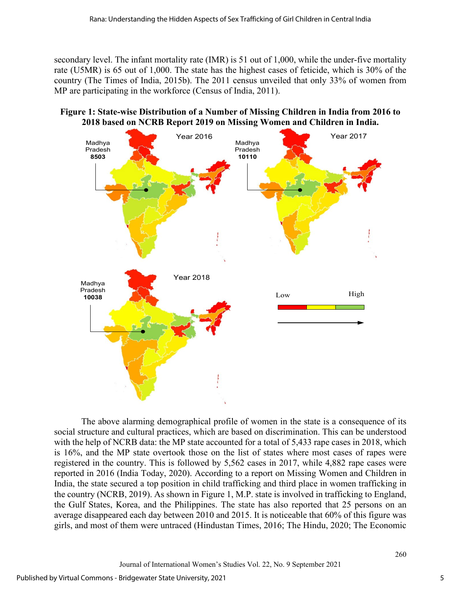secondary level. The infant mortality rate (IMR) is 51 out of 1,000, while the under-five mortality rate (U5MR) is 65 out of 1,000. The state has the highest cases of feticide, which is 30% of the country (The Times of India, 2015b). The 2011 census unveiled that only 33% of women from MP are participating in the workforce (Census of India, 2011).

# **Figure 1: State-wise Distribution of a Number of Missing Children in India from 2016 to 2018 based on NCRB Report 2019 on Missing Women and Children in India.**



The above alarming demographical profile of women in the state is a consequence of its social structure and cultural practices, which are based on discrimination. This can be understood with the help of NCRB data: the MP state accounted for a total of 5,433 rape cases in 2018, which is 16%, and the MP state overtook those on the list of states where most cases of rapes were registered in the country. This is followed by 5,562 cases in 2017, while 4,882 rape cases were reported in 2016 (India Today, 2020). According to a report on Missing Women and Children in India, the state secured a top position in child trafficking and third place in women trafficking in the country (NCRB, 2019). As shown in Figure 1, M.P. state is involved in trafficking to England, the Gulf States, Korea, and the Philippines. The state has also reported that 25 persons on an average disappeared each day between 2010 and 2015. It is noticeable that 60% of this figure was girls, and most of them were untraced (Hindustan Times, 2016; The Hindu, 2020; The Economic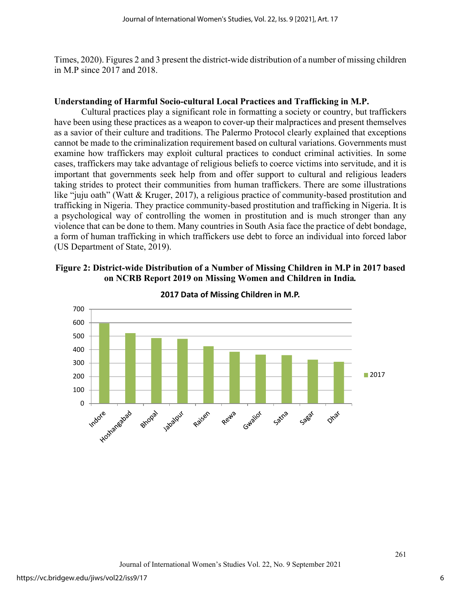Times, 2020). Figures 2 and 3 present the district-wide distribution of a number of missing children in M.P since 2017 and 2018.

#### **Understanding of Harmful Socio-cultural Local Practices and Trafficking in M.P.**

Cultural practices play a significant role in formatting a society or country, but traffickers have been using these practices as a weapon to cover-up their malpractices and present themselves as a savior of their culture and traditions. The Palermo Protocol clearly explained that exceptions cannot be made to the criminalization requirement based on cultural variations. Governments must examine how traffickers may exploit cultural practices to conduct criminal activities. In some cases, traffickers may take advantage of religious beliefs to coerce victims into servitude, and it is important that governments seek help from and offer support to cultural and religious leaders taking strides to protect their communities from human traffickers. There are some illustrations like "juju oath" (Watt & Kruger, 2017), a religious practice of community-based prostitution and trafficking in Nigeria. They practice community-based prostitution and trafficking in Nigeria. It is a psychological way of controlling the women in prostitution and is much stronger than any violence that can be done to them. Many countries in South Asia face the practice of debt bondage, a form of human trafficking in which traffickers use debt to force an individual into forced labor (US Department of State, 2019).

#### **Figure 2: District-wide Distribution of a Number of Missing Children in M.P in 2017 based on NCRB Report 2019 on Missing Women and Children in India***.*



**2017 Data of Missing Children in M.P.**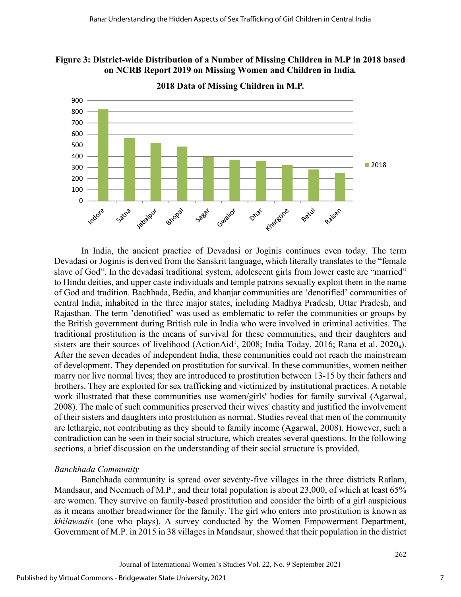



**2018 Data of Missing Children in M.P.**

In India, the ancient practice of Devadasi or Joginis continues even today. The term Devadasi or Joginis is derived from the Sanskrit language, which literally translates to the "female slave of God". In the devadasi traditional system, adolescent girls from lower caste are "married" to Hindu deities, and upper caste individuals and temple patrons sexually exploit them in the name of God and tradition. Bachhada, Bedia, and khanjar communities are 'denotified' communities of central India, inhabited in the three major states, including Madhya Pradesh, Uttar Pradesh, and Rajasthan. The term 'denotified' was used as emblematic to refer the communities or groups by the British government during British rule in India who were involved in criminal activities. The traditional prostitution is the means of survival for these communities, and their daughters and sisters are their sources of livelihood (ActionAid<sup>1</sup>, 2008; India Today, 2016; Rana et al. 2020<sub>a</sub>). After the seven decades of independent India, these communities could not reach the mainstream of development. They depended on prostitution for survival. In these communities, women neither marry nor live normal lives; they are introduced to prostitution between 13-15 by their fathers and brothers. They are exploited for sex trafficking and victimized by institutional practices. A notable work illustrated that these communities use women/girls' bodies for family survival (Agarwal, 2008). The male of such communities preserved their wives' chastity and justified the involvement of their sisters and daughters into prostitution as normal. Studies reveal that men of the community are lethargic, not contributing as they should to family income (Agarwal, 2008). However, such a contradiction can be seen in their social structure, which creates several questions. In the following sections, a brief discussion on the understanding of their social structure is provided.

# *Banchhada Community*

Banchhada community is spread over seventy-five villages in the three districts Ratlam, Mandsaur, and Neemuch of M.P., and their total population is about 23,000, of which at least 65% are women. They survive on family-based prostitution and consider the birth of a girl auspicious as it means another breadwinner for the family. The girl who enters into prostitution is known as *khilawadis* (one who plays). A survey conducted by the Women Empowerment Department, Government of M.P. in 2015 in 38 villages in Mandsaur, showed that their population in the district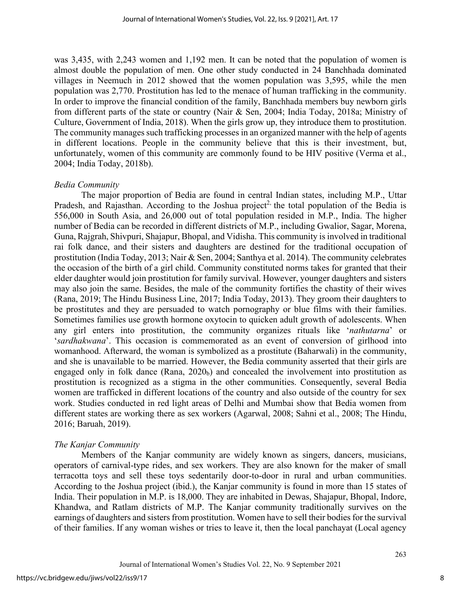was 3,435, with 2,243 women and 1,192 men. It can be noted that the population of women is almost double the population of men. One other study conducted in 24 Banchhada dominated villages in Neemuch in 2012 showed that the women population was 3,595, while the men population was 2,770. Prostitution has led to the menace of human trafficking in the community. In order to improve the financial condition of the family, Banchhada members buy newborn girls from different parts of the state or country (Nair & Sen, 2004; India Today, 2018a; Ministry of Culture, Government of India, 2018). When the girls grow up, they introduce them to prostitution. The community manages such trafficking processes in an organized manner with the help of agents in different locations. People in the community believe that this is their investment, but, unfortunately, women of this community are commonly found to be HIV positive (Verma et al., 2004; India Today, 2018b).

#### *Bedia Community*

The major proportion of Bedia are found in central Indian states, including M.P., Uttar Pradesh, and Rajasthan. According to the Joshua project<sup>2,</sup> the total population of the Bedia is 556,000 in South Asia, and 26,000 out of total population resided in M.P., India. The higher number of Bedia can be recorded in different districts of M.P., including Gwalior, Sagar, Morena, Guna, Rajgrah, Shivpuri, Shajapur, Bhopal, and Vidisha. This community is involved in traditional rai folk dance, and their sisters and daughters are destined for the traditional occupation of prostitution (India Today, 2013; Nair & Sen, 2004; Santhya et al. 2014). The community celebrates the occasion of the birth of a girl child. Community constituted norms takes for granted that their elder daughter would join prostitution for family survival. However, younger daughters and sisters may also join the same. Besides, the male of the community fortifies the chastity of their wives (Rana, 2019; The Hindu Business Line, 2017; India Today, 2013). They groom their daughters to be prostitutes and they are persuaded to watch pornography or blue films with their families. Sometimes families use growth hormone oxytocin to quicken adult growth of adolescents. When any girl enters into prostitution, the community organizes rituals like '*nathutarna*' or '*sardhakwana*'. This occasion is commemorated as an event of conversion of girlhood into womanhood. Afterward, the woman is symbolized as a prostitute (Baharwali) in the community, and she is unavailable to be married. However, the Bedia community asserted that their girls are engaged only in folk dance (Rana,  $2020<sub>b</sub>$ ) and concealed the involvement into prostitution as prostitution is recognized as a stigma in the other communities. Consequently, several Bedia women are trafficked in different locations of the country and also outside of the country for sex work. Studies conducted in red light areas of Delhi and Mumbai show that Bedia women from different states are working there as sex workers (Agarwal, 2008; Sahni et al., 2008; The Hindu, 2016; Baruah, 2019).

#### *The Kanjar Community*

Members of the Kanjar community are widely known as singers, dancers, musicians, operators of carnival-type rides, and sex workers. They are also known for the maker of small terracotta toys and sell these toys sedentarily door-to-door in rural and urban communities. According to the Joshua project (ibid.), the Kanjar community is found in more than 15 states of India. Their population in M.P. is 18,000. They are inhabited in Dewas, Shajapur, Bhopal, Indore, Khandwa, and Ratlam districts of M.P. The Kanjar community traditionally survives on the earnings of daughters and sisters from prostitution. Women have to sell their bodies for the survival of their families. If any woman wishes or tries to leave it, then the local panchayat (Local agency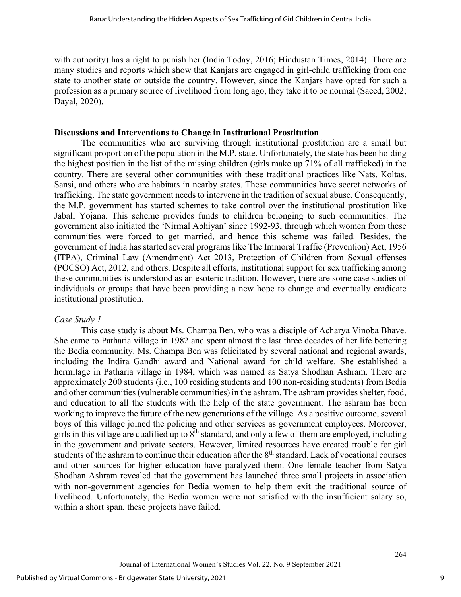with authority) has a right to punish her (India Today, 2016; Hindustan Times, 2014). There are many studies and reports which show that Kanjars are engaged in girl-child trafficking from one state to another state or outside the country. However, since the Kanjars have opted for such a profession as a primary source of livelihood from long ago, they take it to be normal (Saeed, 2002; Dayal, 2020).

#### **Discussions and Interventions to Change in Institutional Prostitution**

The communities who are surviving through institutional prostitution are a small but significant proportion of the population in the M.P. state. Unfortunately, the state has been holding the highest position in the list of the missing children (girls make up 71% of all trafficked) in the country. There are several other communities with these traditional practices like Nats, Koltas, Sansi, and others who are habitats in nearby states. These communities have secret networks of trafficking. The state government needs to intervene in the tradition of sexual abuse. Consequently, the M.P. government has started schemes to take control over the institutional prostitution like Jabali Yojana. This scheme provides funds to children belonging to such communities. The government also initiated the 'Nirmal Abhiyan' since 1992-93, through which women from these communities were forced to get married, and hence this scheme was failed. Besides, the government of India has started several programs like The Immoral Traffic (Prevention) Act, 1956 (ITPA), Criminal Law (Amendment) Act 2013, Protection of Children from Sexual offenses (POCSO) Act, 2012, and others. Despite all efforts, institutional support for sex trafficking among these communities is understood as an esoteric tradition. However, there are some case studies of individuals or groups that have been providing a new hope to change and eventually eradicate institutional prostitution.

#### *Case Study 1*

This case study is about Ms. Champa Ben, who was a disciple of Acharya Vinoba Bhave. She came to Patharia village in 1982 and spent almost the last three decades of her life bettering the Bedia community. Ms. Champa Ben was felicitated by several national and regional awards, including the Indira Gandhi award and National award for child welfare. She established a hermitage in Patharia village in 1984, which was named as Satya Shodhan Ashram. There are approximately 200 students (i.e., 100 residing students and 100 non-residing students) from Bedia and other communities (vulnerable communities) in the ashram. The ashram provides shelter, food, and education to all the students with the help of the state government. The ashram has been working to improve the future of the new generations of the village. As a positive outcome, several boys of this village joined the policing and other services as government employees. Moreover, girls in this village are qualified up to  $8<sup>th</sup>$  standard, and only a few of them are employed, including in the government and private sectors. However, limited resources have created trouble for girl students of the ashram to continue their education after the 8<sup>th</sup> standard. Lack of vocational courses and other sources for higher education have paralyzed them. One female teacher from Satya Shodhan Ashram revealed that the government has launched three small projects in association with non-government agencies for Bedia women to help them exit the traditional source of livelihood. Unfortunately, the Bedia women were not satisfied with the insufficient salary so, within a short span, these projects have failed.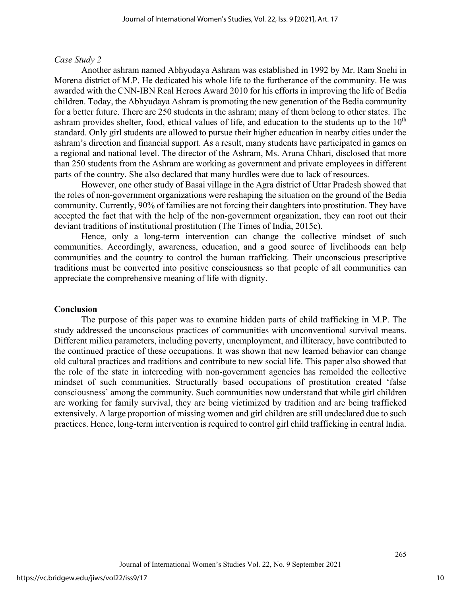#### *Case Study 2*

Another ashram named Abhyudaya Ashram was established in 1992 by Mr. Ram Snehi in Morena district of M.P. He dedicated his whole life to the furtherance of the community. He was awarded with the CNN-IBN Real Heroes Award 2010 for his efforts in improving the life of Bedia children. Today, the Abhyudaya Ashram is promoting the new generation of the Bedia community for a better future. There are 250 students in the ashram; many of them belong to other states. The ashram provides shelter, food, ethical values of life, and education to the students up to the  $10<sup>th</sup>$ standard. Only girl students are allowed to pursue their higher education in nearby cities under the ashram's direction and financial support. As a result, many students have participated in games on a regional and national level. The director of the Ashram, Ms. Aruna Chhari, disclosed that more than 250 students from the Ashram are working as government and private employees in different parts of the country. She also declared that many hurdles were due to lack of resources.

However, one other study of Basai village in the Agra district of Uttar Pradesh showed that the roles of non-government organizations were reshaping the situation on the ground of the Bedia community. Currently, 90% of families are not forcing their daughters into prostitution. They have accepted the fact that with the help of the non-government organization, they can root out their deviant traditions of institutional prostitution (The Times of India, 2015c).

Hence, only a long-term intervention can change the collective mindset of such communities. Accordingly, awareness, education, and a good source of livelihoods can help communities and the country to control the human trafficking. Their unconscious prescriptive traditions must be converted into positive consciousness so that people of all communities can appreciate the comprehensive meaning of life with dignity.

#### **Conclusion**

The purpose of this paper was to examine hidden parts of child trafficking in M.P. The study addressed the unconscious practices of communities with unconventional survival means. Different milieu parameters, including poverty, unemployment, and illiteracy, have contributed to the continued practice of these occupations. It was shown that new learned behavior can change old cultural practices and traditions and contribute to new social life. This paper also showed that the role of the state in interceding with non-government agencies has remolded the collective mindset of such communities. Structurally based occupations of prostitution created 'false consciousness' among the community. Such communities now understand that while girl children are working for family survival, they are being victimized by tradition and are being trafficked extensively. A large proportion of missing women and girl children are still undeclared due to such practices. Hence, long-term intervention is required to control girl child trafficking in central India.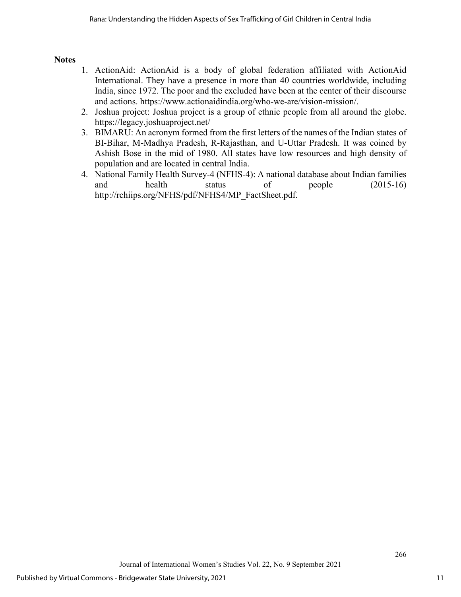# **Notes**

- 1. ActionAid: ActionAid is a body of global federation affiliated with ActionAid International. They have a presence in more than 40 countries worldwide, including India, since 1972. The poor and the excluded have been at the center of their discourse and actions. [https://www.actionaidindia.org/who-we-are/vision-mission/.](https://www.actionaidindia.org/who-we-are/vision-mission/)
- 2. Joshua project: Joshua project is a group of ethnic people from all around the globe. https://legacy.joshuaproject.net/
- 3. BIMARU: An acronym formed from the first letters of the names of the Indian states of BI-Bihar, M-Madhya Pradesh, R-Rajasthan, and U-Uttar Pradesh. It was coined by Ashish Bose in the mid of 1980. All states have low resources and high density of population and are located in central India.
- 4. National Family Health Survey-4 (NFHS-4): A national database about Indian families and health status of people (2015-16) http://rchiips.org/NFHS/pdf/NFHS4/MP\_FactSheet.pdf.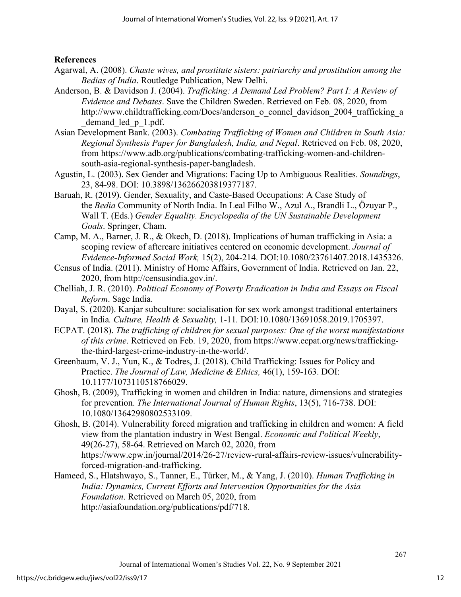# **References**

- Agarwal, A. (2008). *Chaste wives, and prostitute sisters: patriarchy and prostitution among the Bedias of India*. Routledge Publication, New Delhi.
- Anderson, B. & Davidson J. (2004). *Trafficking: A Demand Led Problem? Part I: A Review of Evidence and Debates*. Save the Children Sweden. Retrieved on Feb. 08, 2020, from http://www.childtrafficking.com/Docs/anderson\_o\_connel\_davidson\_2004\_trafficking\_a demand led p 1.pdf.
- Asian Development Bank. (2003). *Combating Trafficking of Women and Children in South Asia: Regional Synthesis Paper for Bangladesh, India, and Nepal*. Retrieved on Feb. 08, 2020, from https://www.adb.org/publications/combating-trafficking-women-and-childrensouth-asia-regional-synthesis-paper-bangladesh.
- Agustin, L. (2003). Sex Gender and Migrations: Facing Up to Ambiguous Realities. *Soundings*, 23, 84-98. DOI: 10.3898/136266203819377187.
- Baruah, R. (2019). Gender, Sexuality, and Caste-Based Occupations: A Case Study of the *Bedia* Community of North India. In Leal Filho W., Azul A., Brandli L., Özuyar P., Wall T. (Eds.) *Gender Equality. Encyclopedia of the UN Sustainable Development Goals*. Springer, Cham.
- Camp, M. A., Barner, J. R., & Okech, D. (2018). Implications of human trafficking in Asia: a scoping review of aftercare initiatives centered on economic development. *Journal of Evidence-Informed Social Work,* 15(2), 204-214. DOI:10.1080/23761407.2018.1435326.
- Census of India. (2011). Ministry of Home Affairs, Government of India. Retrieved on Jan. 22, 2020, from http://censusindia.gov.in/.
- Chelliah, J. R. (2010). *Political Economy of Poverty Eradication in India and Essays on Fiscal Reform*. Sage India.
- Dayal, S. (2020). Kanjar subculture: socialisation for sex work amongst traditional entertainers in India*. Culture, Health & Sexuality,* 1-11*.* DOI:10.1080/13691058.2019.1705397.
- ECPAT. (2018). *The trafficking of children for sexual purposes: One of the worst manifestations of this crime*. Retrieved on Feb. 19, 2020, from [https://www.ecpat.org/news/trafficking](https://www.ecpat.org/news/trafficking-the-third-largest-crime-industry-in-the-world/)[the-third-largest-crime-industry-in-the-world/.](https://www.ecpat.org/news/trafficking-the-third-largest-crime-industry-in-the-world/)
- Greenbaum, V. J., Yun, K., & Todres, J. (2018). Child Trafficking: Issues for Policy and Practice. *The Journal of Law, Medicine & Ethics,* 46(1), 159-163. DOI: 10.1177/1073110518766029.
- Ghosh, B. (2009), Trafficking in women and children in India: nature, dimensions and strategies for prevention. *The International Journal of Human Rights*, 13(5), 716-738. DOI: 10.1080/13642980802533109.
- Ghosh, B. (2014). Vulnerability forced migration and trafficking in children and women: A field view from the plantation industry in West Bengal. *Economic and Political Weekly*, 49(26-27), 58-64. Retrieved on March 02, 2020, from https://www.epw.in/journal/2014/26-27/review-rural-affairs-review-issues/vulnerabilityforced-migration-and-trafficking.
- Hameed, S., Hlatshwayo, S., Tanner, E., Türker, M., & Yang, J. (2010). *Human Trafficking in India: Dynamics, Current Efforts and Intervention Opportunities for the Asia Foundation*. Retrieved on March 05, 2020, from [http://asiafoundation.org/publications/pdf/718.](http://asiafoundation.org/publications/pdf/718)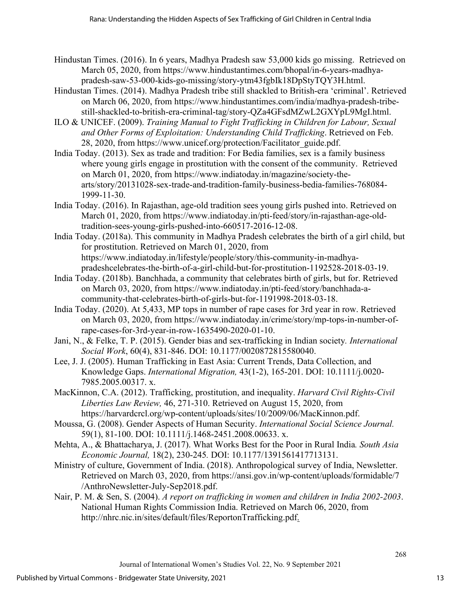- Hindustan Times. (2016). In 6 years, Madhya Pradesh saw 53,000 kids go missing. Retrieved on March 05, 2020, from [https://www.hindustantimes.com/bhopal/in-6-years-madhya](https://www.hindustantimes.com/bhopal/in-6-years-madhya-pradesh-saw-53-000-kids-go-missing/story-ytm43fgbIk18DpStyTQY3H.html)[pradesh-saw-53-000-kids-go-missing/story-ytm43fgbIk18DpStyTQY3H.html.](https://www.hindustantimes.com/bhopal/in-6-years-madhya-pradesh-saw-53-000-kids-go-missing/story-ytm43fgbIk18DpStyTQY3H.html)
- Hindustan Times. (2014). Madhya Pradesh tribe still shackled to British-era 'criminal'. Retrieved on March 06, 2020, from https://www.hindustantimes.com/india/madhya-pradesh-tribestill-shackled-to-british-era-criminal-tag/story-QZa4GFsdMZwL2GXYpL9MgI.html.
- ILO & UNICEF. (2009). *Training Manual to Fight Trafficking in Children for Labour, Sexual and Other Forms of Exploitation: Understanding Child Trafficking*. Retrieved on Feb. 28, 2020, from https://www.unicef.org/protection/Facilitator\_guide.pdf.
- India Today. (2013). Sex as trade and tradition: For Bedia families, sex is a family business where young girls engage in prostitution with the consent of the community. Retrieved on March 01, 2020, from https://www.indiatoday.in/magazine/society-thearts/story/20131028-sex-trade-and-tradition-family-business-bedia-families-768084- 1999-11-30.
- India Today. (2016). In Rajasthan, age-old tradition sees young girls pushed into. Retrieved on March 01, 2020, from [https://www.indiatoday.in/pti-feed/story/in-rajasthan-age-old](https://www.indiatoday.in/pti-feed/story/in-rajasthan-age-old-tradition-sees-young-girls-pushed-into-660517-2016-12-08)[tradition-sees-young-girls-pushed-into-660517-2016-12-08.](https://www.indiatoday.in/pti-feed/story/in-rajasthan-age-old-tradition-sees-young-girls-pushed-into-660517-2016-12-08)
- India Today. (2018a). This community in Madhya Pradesh celebrates the birth of a girl child, but for prostitution. Retrieved on March 01, 2020, from https://www.indiatoday.in/lifestyle/people/story/this-community-in-madhyapradeshcelebrates-the-birth-of-a-girl-child-but-for-prostitution-1192528-2018-03-19.
- India Today. (2018b). Banchhada, a community that celebrates birth of girls, but for. Retrieved on March 03, 2020, from [https://www.indiatoday.in/pti-feed/story/banchhada-a](https://www.indiatoday.in/pti-feed/story/banchhada-a-community-that-celebrates-birth-of-girls-but-for-1191998-2018-03-18)[community-that-celebrates-birth-of-girls-but-for-1191998-2018-03-18.](https://www.indiatoday.in/pti-feed/story/banchhada-a-community-that-celebrates-birth-of-girls-but-for-1191998-2018-03-18)
- India Today. (2020). At 5,433, MP tops in number of rape cases for 3rd year in row. Retrieved on March 03, 2020, from [https://www.indiatoday.in/crime/story/mp-tops-in-number-of](https://www.indiatoday.in/crime/story/mp-tops-in-number-of-rape-cases-for-3rd-year-in-row-1635490-2020-01-10)[rape-cases-for-3rd-year-in-row-1635490-2020-01-10.](https://www.indiatoday.in/crime/story/mp-tops-in-number-of-rape-cases-for-3rd-year-in-row-1635490-2020-01-10)
- Jani, N., & Felke, T. P. (2015). Gender bias and sex-trafficking in Indian society*. International Social Work*, 60(4), 831-846. DOI: 10.1177/0020872815580040.
- Lee, J. J. (2005). Human Trafficking in East Asia: Current Trends, Data Collection, and Knowledge Gaps. *International Migration,* 43(1-2), 165-201. DOI: 10.1111/j.0020- 7985.2005.00317. x.
- MacKinnon, C.A. (2012). Trafficking, prostitution, and inequality. *Harvard Civil Rights-Civil Liberties Law Review,* 46, 271-310. Retrieved on August 15, 2020, from https://harvardcrcl.org/wp-content/uploads/sites/10/2009/06/MacKinnon.pdf.
- Moussa, G. (2008). Gender Aspects of Human Security. *International Social Science Journal.* 59(1), 81-100. DOI: 10.1111/j.1468-2451.2008.00633. x.
- Mehta, A., & Bhattacharya, J. (2017). What Works Best for the Poor in Rural India*. South Asia Economic Journal,* 18(2), 230-245*.* DOI: 10.1177/1391561417713131.
- Ministry of culture, Government of India. (2018). Anthropological survey of India, Newsletter. Retrieved on March 03, 2020, from https://ansi.gov.in/wp-content/uploads/formidable/7 /AnthroNewsletter-July-Sep2018.pdf.
- Nair, P. M. & Sen, S. (2004). *A report on trafficking in women and children in India 2002-2003*. National Human Rights Commission India. Retrieved on March 06, 2020, from http://nhrc.nic.in/sites/default/files/ReportonTrafficking.pdf.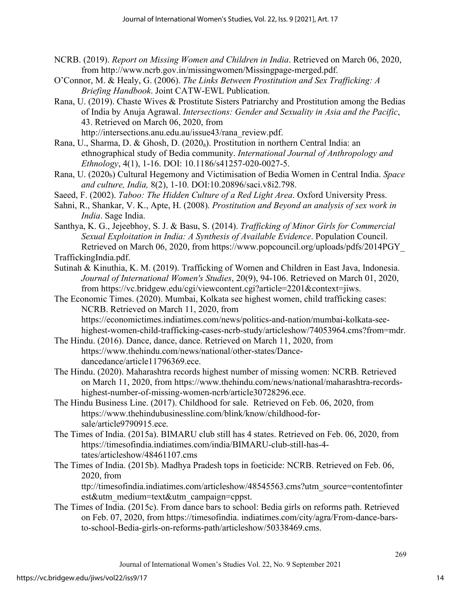- NCRB. (2019). *Report on Missing Women and Children in India*. Retrieved on March 06, 2020, from [http://www.ncrb.gov.in/missingwomen/Missingpage-merged.pdf.](http://www.ncrb.gov.in/missingwomen/Missingpage-merged.pdf)
- O'Connor, M. & Healy, G. (2006). *The Links Between Prostitution and Sex Trafficking: A Briefing Handbook*. Joint CATW-EWL Publication.
- Rana, U. (2019). Chaste Wives & Prostitute Sisters Patriarchy and Prostitution among the Bedias of India by Anuja Agrawal. *Intersections: Gender and Sexuality in Asia and the Pacific*, 43. Retrieved on March 06, 2020, from http://intersections.anu.edu.au/issue43/rana\_review.pdf.
- Rana, U., Sharma, D. & Ghosh, D. (2020<sub>a</sub>). Prostitution in northern Central India: an ethnographical study of Bedia community. *International Journal of Anthropology and Ethnology*, 4(1), 1-16. DOI: 10.1186/s41257-020-0027-5.
- Rana, U. (2020b) Cultural Hegemony and Victimisation of Bedia Women in Central India. *Space and culture, India,* 8(2), 1-10. DOI:10.20896/saci.v8i2.798.
- Saeed, F. (2002). *Taboo: The Hidden Culture of a Red Light Area*. Oxford University Press.
- Sahni, R., Shankar, V. K., Apte, H. (2008). *Prostitution and Beyond an analysis of sex work in India*. Sage India.

Santhya, K. G., Jejeebhoy, S. J. & Basu, S. (2014). *Trafficking of Minor Girls for Commercial Sexual Exploitation in India: A Synthesis of Available Evidence*. Population Council. Retrieved on March 06, 2020, from https://www.popcouncil.org/uploads/pdfs/2014PGY\_ TraffickingIndia.pdf.

Sutinah & Kinuthia, K. M. (2019). Trafficking of Women and Children in East Java, Indonesia. *Journal of International Women's Studies*, 20(9), 94-106. Retrieved on March 01, 2020, from https://vc.bridgew.edu/cgi/viewcontent.cgi?article=2201&context=jiws.

The Economic Times. (2020). Mumbai, Kolkata see highest women, child trafficking cases: NCRB. Retrieved on March 11, 2020, from https://economictimes.indiatimes.com/news/politics-and-nation/mumbai-kolkata-seehighest-women-child-trafficking-cases-ncrb-study/articleshow/74053964.cms?from=mdr.

- The Hindu. (2016). Dance, dance, dance. Retrieved on March 11, 2020, from https://www.thehindu.com/news/national/other-states/Dancedancedance/article11796369.ece.
- The Hindu. (2020). Maharashtra records highest number of missing women: NCRB. Retrieved on March 11, 2020, from https://www.thehindu.com/news/national/maharashtra-recordshighest-number-of-missing-women-ncrb/article30728296.ece.
- The Hindu Business Line. (2017). Childhood for sale. Retrieved on Feb. 06, 2020, from https://www.thehindubusinessline.com/blink/know/childhood-forsale/article9790915.ece.
- The Times of India. (2015a). BIMARU club still has 4 states. Retrieved on Feb. 06, 2020, from https://timesofindia.indiatimes.com/india/BIMARU-club-still-has-4 tates/articleshow/48461107.cms
- The Times of India. (2015b). Madhya Pradesh tops in foeticide: NCRB. Retrieved on Feb. 06, 2020, from

ttp://timesofindia.indiatimes.com/articleshow/48545563.cms?utm\_source=contentofinter est&utm\_medium=text&utm\_campaign=cppst.

The Times of India. (2015c). From dance bars to school: Bedia girls on reforms path. Retrieved on Feb. 07, 2020, from https://timesofindia. indiatimes.com/city/agra/From-dance-barsto-school-Bedia-girls-on-reforms-path/articleshow/50338469.cms.